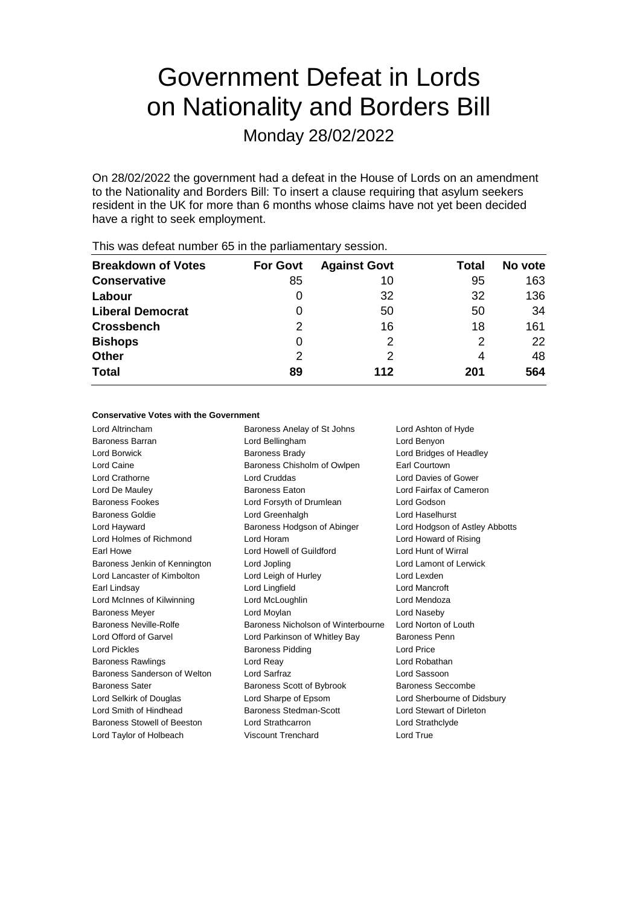# Government Defeat in Lords on Nationality and Borders Bill

Monday 28/02/2022

On 28/02/2022 the government had a defeat in the House of Lords on an amendment to the Nationality and Borders Bill: To insert a clause requiring that asylum seekers resident in the UK for more than 6 months whose claims have not yet been decided have a right to seek employment.

| <b>For Govt</b> | <b>Against Govt</b> | Total | No vote |
|-----------------|---------------------|-------|---------|
| 85              | 10                  | 95    | 163     |
| 0               | 32                  | 32    | 136     |
| 0               | 50                  | 50    | 34      |
| 2               | 16                  | 18    | 161     |
| 0               | 2                   | 2     | 22      |
| 2               |                     | 4     | 48      |
| 89              | 112                 | 201   | 564     |
|                 |                     |       |         |

This was defeat number 65 in the parliamentary session.

#### **Conservative Votes with the Government**

Lord Altrincham **Baroness Anelay of St Johns** Lord Ashton of Hyde Baroness Barran Lord Bellingham Lord Benyon Lord Borwick **Baroness Brady Communist Constructs** Lord Bridges of Headley Lord Caine **Baroness Chisholm of Owlpen** Earl Courtown Lord Crathorne Lord Cruddas Lord Davies of Gower Lord De Mauley Baroness Eaton Lord Fairfax of Cameron Baroness Fookes Lord Forsyth of Drumlean Lord Godson Baroness Goldie Lord Greenhalgh Lord Haselhurst Lord Hayward **Baroness Hodgson of Abinger** Lord Hodgson of Astley Abbotts Lord Holmes of Richmond Lord Horam Lord Howard of Rising Earl Howe Lord Howell of Guildford Lord Hunt of Wirral Baroness Jenkin of Kennington Lord Jopling Lord Lamont of Lerwick Lord Lancaster of Kimbolton Lord Leigh of Hurley Lord Lexden Earl Lindsay Lord Lingfield Lord Mancroft Lord McInnes of Kilwinning Lord McLoughlin Lord Mendoza Baroness Meyer Lord Moylan Lord Naseby Baroness Neville-Rolfe **Baroness Nicholson of Winterbourne** Lord Norton of Louth Lord Offord of Garvel **Lord Parkinson of Whitley Bay** Baroness Penn Lord Pickles **Baroness Pidding Lord Price** Lord Price Baroness Rawlings Lord Reay Lord Robathan Baroness Sanderson of Welton Lord Sarfraz Lord Sassoon Baroness Sater **Baroness Scott of Bybrook** Baroness Seccombe Lord Selkirk of Douglas Lord Sharpe of Epsom Lord Sherbourne of Didsbury Lord Smith of Hindhead Baroness Stedman-Scott Lord Stewart of Dirleton Baroness Stowell of Beeston Lord Strathcarron Lord Strathclyde Lord Taylor of Holbeach Viscount Trenchard Lord True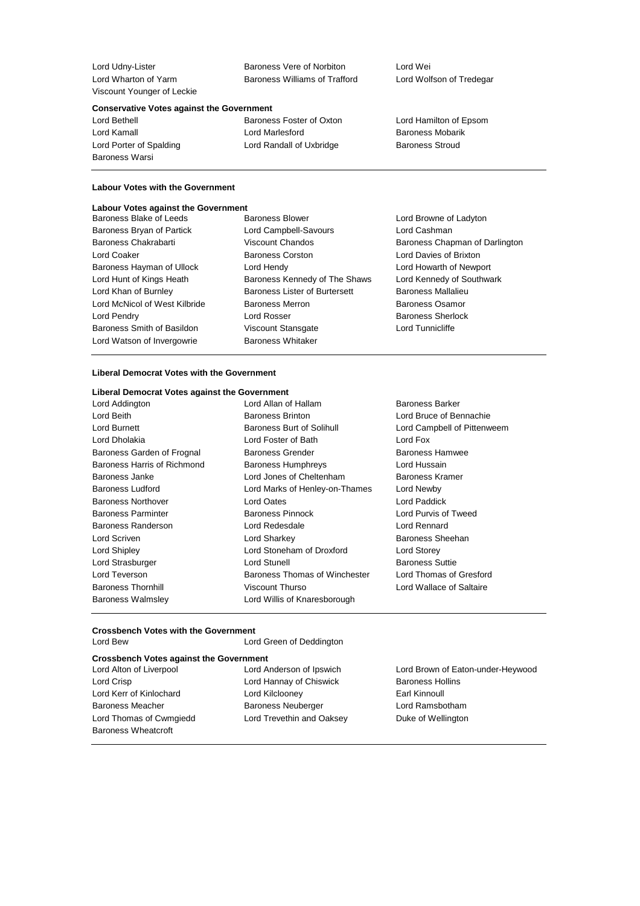| Lord Udny-Lister           |
|----------------------------|
| Lord Wharton of Yarm       |
| Viscount Younger of Leckie |

Baroness Vere of Norbiton Lord Wei Baroness Williams of Trafford Lord Wolfson of Tredegar

#### **Conservative Votes against the Government**

Baroness Warsi

Lord Bethell **Baroness Foster of Oxton** Lord Hamilton of Epsom Lord Kamall **Lord Marlesford** Baroness Mobarik Lord Porter of Spalding **Lord Randall of Uxbridge** Baroness Stroud

## **Labour Votes with the Government**

#### **Labour Votes against the Government**

| Baroness Blake of Leeds       | <b>Baroness Blower</b>               | Lord Browne of Ladyton         |
|-------------------------------|--------------------------------------|--------------------------------|
| Baroness Bryan of Partick     | Lord Campbell-Savours                | Lord Cashman                   |
| Baroness Chakrabarti          | <b>Viscount Chandos</b>              | Baroness Chapman of Darlington |
| Lord Coaker                   | <b>Baroness Corston</b>              | Lord Davies of Brixton         |
| Baroness Hayman of Ullock     | Lord Hendy                           | Lord Howarth of Newport        |
| Lord Hunt of Kings Heath      | Baroness Kennedy of The Shaws        | Lord Kennedy of Southwark      |
| Lord Khan of Burnley          | <b>Baroness Lister of Burtersett</b> | <b>Baroness Mallalieu</b>      |
| Lord McNicol of West Kilbride | <b>Baroness Merron</b>               | <b>Baroness Osamor</b>         |
| Lord Pendry                   | Lord Rosser                          | <b>Baroness Sherlock</b>       |
| Baroness Smith of Basildon    | <b>Viscount Stansgate</b>            | Lord Tunnicliffe               |
| Lord Watson of Invergowrie    | <b>Baroness Whitaker</b>             |                                |
|                               |                                      |                                |

### **Liberal Democrat Votes with the Government**

#### **Liberal Democrat Votes against the Government**

| Lord Addington              | Lord Allan of Hallam             | <b>Baroness</b>  |
|-----------------------------|----------------------------------|------------------|
| Lord Beith                  | <b>Baroness Brinton</b>          | Lord Brud        |
| <b>Lord Burnett</b>         | <b>Baroness Burt of Solihull</b> | Lord Cam         |
| Lord Dholakia               | Lord Foster of Bath              | Lord Fox         |
| Baroness Garden of Frognal  | <b>Baroness Grender</b>          | <b>Baroness</b>  |
| Baroness Harris of Richmond | <b>Baroness Humphreys</b>        | Lord Hus         |
| Baroness Janke              | Lord Jones of Cheltenham         | <b>Baroness</b>  |
| <b>Baroness Ludford</b>     | Lord Marks of Henley-on-Thames   | Lord New         |
| <b>Baroness Northover</b>   | <b>Lord Oates</b>                | Lord Pad         |
| <b>Baroness Parminter</b>   | <b>Baroness Pinnock</b>          | Lord Pury        |
| <b>Baroness Randerson</b>   | Lord Redesdale                   | Lord Ren         |
| Lord Scriven                | Lord Sharkey                     | <b>Baroness</b>  |
| <b>Lord Shipley</b>         | Lord Stoneham of Droxford        | <b>Lord Stor</b> |
| Lord Strasburger            | <b>Lord Stunell</b>              | <b>Baroness</b>  |
| Lord Teverson               | Baroness Thomas of Winchester    | Lord Thor        |
| <b>Baroness Thornhill</b>   | Viscount Thurso                  | Lord Wal         |
| <b>Baroness Walmsley</b>    | Lord Willis of Knaresborough     |                  |

llam Baroness Barker n and Bruce of Bennachie Solihull Lord Campbell of Pittenweem er From Baroness Hamwee hreys **East Exity** Lord Hussain heltenham Baroness Kramer enley-on-Thames Lord Newby **Baroness Parminter Baroness Purvis of Tweed** of Droxford Lord Storey as of Winchester Lord Thomas of Gresford aresborough

Lord Paddick Lord Rennard Baroness Sheehan Baroness Suttie Lord Wallace of Saltaire

### **Crossbench Votes with the Government** Lord Green of Deddington

| <b>Crossbench Votes against the Government</b> |                          |                                   |  |  |  |
|------------------------------------------------|--------------------------|-----------------------------------|--|--|--|
| Lord Alton of Liverpool                        | Lord Anderson of Ipswich | Lord Brown of Eaton-under-Heywood |  |  |  |

Lord Crisp **Lord Hannay of Chiswick** Baroness Hollins Lord Kerr of Kinlochard **Lord Kilclooney Lord Kinnoull** Baroness Meacher Baroness Neuberger Lord Ramsbotham Lord Thomas of Cwmgiedd Lord Trevethin and Oaksey Duke of Wellington Baroness Wheatcroft